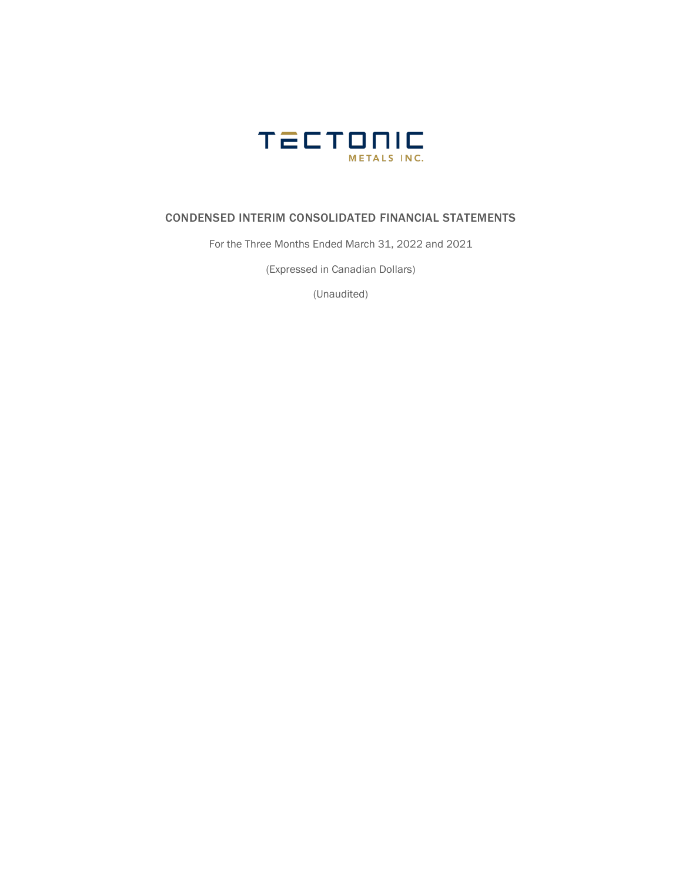

## CONDENSED INTERIM CONSOLIDATED FINANCIAL STATEMENTS

For the Three Months Ended March 31, 2022 and 2021

(Expressed in Canadian Dollars)

(Unaudited)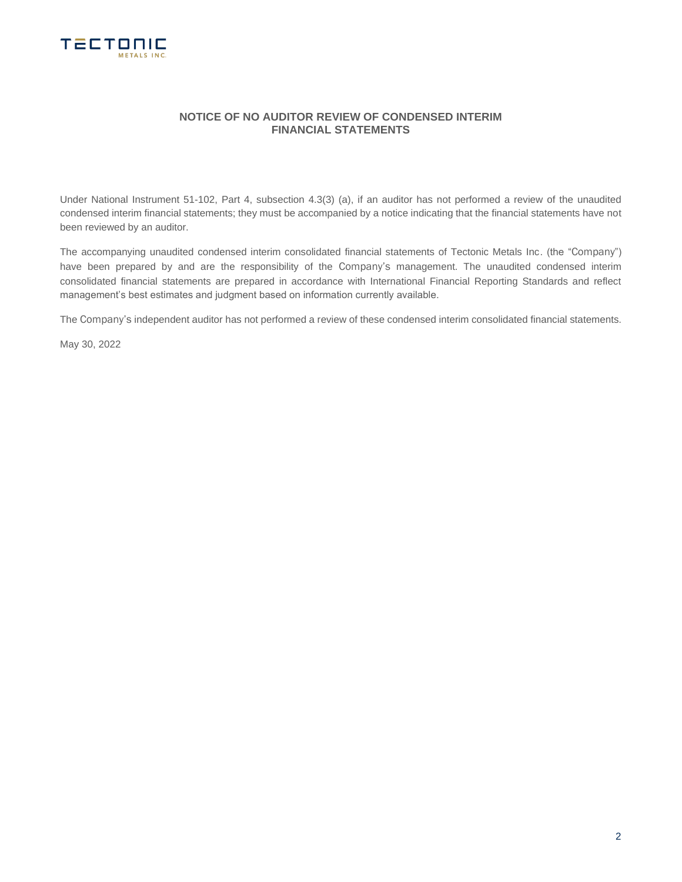

## **NOTICE OF NO AUDITOR REVIEW OF CONDENSED INTERIM FINANCIAL STATEMENTS**

Under National Instrument 51-102, Part 4, subsection 4.3(3) (a), if an auditor has not performed a review of the unaudited condensed interim financial statements; they must be accompanied by a notice indicating that the financial statements have not been reviewed by an auditor.

The accompanying unaudited condensed interim consolidated financial statements of Tectonic Metals Inc. (the "Company") have been prepared by and are the responsibility of the Company's management. The unaudited condensed interim consolidated financial statements are prepared in accordance with International Financial Reporting Standards and reflect management's best estimates and judgment based on information currently available.

The Company's independent auditor has not performed a review of these condensed interim consolidated financial statements.

May 30, 2022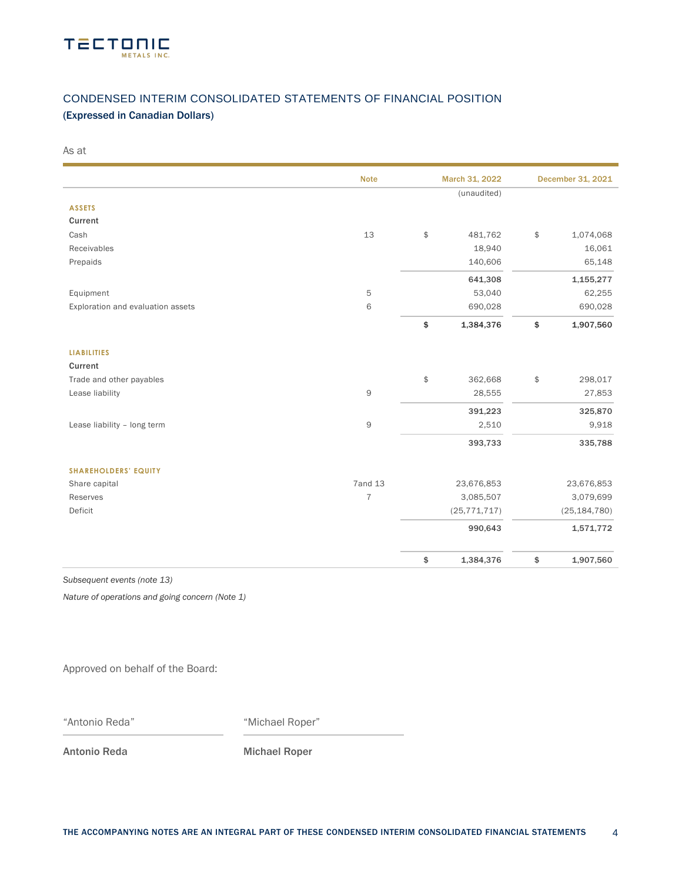

# CONDENSED INTERIM CONSOLIDATED STATEMENTS OF FINANCIAL POSITION

## (Expressed in Canadian Dollars)

As at

|                                   | <b>Note</b>    | March 31, 2022  | December 31, 2021 |
|-----------------------------------|----------------|-----------------|-------------------|
|                                   |                | (unaudited)     |                   |
| <b>ASSETS</b>                     |                |                 |                   |
| Current                           |                |                 |                   |
| Cash                              | 13             | \$<br>481,762   | \$<br>1,074,068   |
| Receivables                       |                | 18,940          | 16,061            |
| Prepaids                          |                | 140,606         | 65,148            |
|                                   |                | 641,308         | 1,155,277         |
| Equipment                         | 5              | 53,040          | 62,255            |
| Exploration and evaluation assets | 6              | 690,028         | 690,028           |
|                                   |                | \$<br>1,384,376 | \$<br>1,907,560   |
| <b>LIABILITIES</b>                |                |                 |                   |
| Current                           |                |                 |                   |
| Trade and other payables          |                | \$<br>362,668   | \$<br>298,017     |
| Lease liability                   | 9              | 28,555          | 27,853            |
|                                   |                | 391,223         | 325,870           |
| Lease liability - long term       | 9              | 2,510           | 9,918             |
|                                   |                | 393,733         | 335,788           |
| <b>SHAREHOLDERS' EQUITY</b>       |                |                 |                   |
| Share capital                     | <b>7and 13</b> | 23,676,853      | 23,676,853        |
| Reserves                          | $\overline{7}$ | 3,085,507       | 3,079,699         |
| Deficit                           |                | (25, 771, 717)  | (25, 184, 780)    |
|                                   |                | 990,643         | 1,571,772         |
|                                   |                | \$<br>1,384,376 | \$<br>1,907,560   |

*Subsequent events (note 13)*

*Nature of operations and going concern (Note 1)*

Approved on behalf of the Board:

"Antonio Reda" "Michael Roper"

Antonio Reda Michael Roper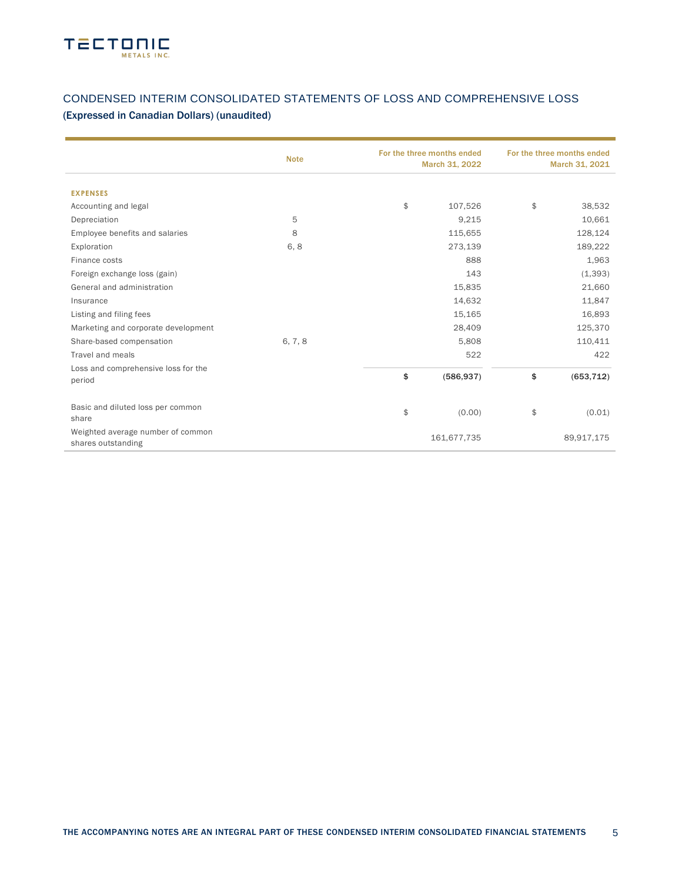

## CONDENSED INTERIM CONSOLIDATED STATEMENTS OF LOSS AND COMPREHENSIVE LOSS (Expressed in Canadian Dollars) (unaudited)

|                                                         | <b>Note</b> | For the three months ended<br>March 31, 2022 | For the three months ended<br>March 31, 2021 |            |  |
|---------------------------------------------------------|-------------|----------------------------------------------|----------------------------------------------|------------|--|
|                                                         |             |                                              |                                              |            |  |
| <b>EXPENSES</b>                                         |             |                                              |                                              |            |  |
| Accounting and legal                                    |             | \$<br>107,526                                | \$                                           | 38,532     |  |
| Depreciation                                            | 5           | 9,215                                        |                                              | 10,661     |  |
| Employee benefits and salaries                          | 8           | 115,655                                      |                                              | 128,124    |  |
| Exploration                                             | 6,8         | 273,139                                      |                                              | 189,222    |  |
| Finance costs                                           |             | 888                                          |                                              | 1,963      |  |
| Foreign exchange loss (gain)                            |             | 143                                          |                                              | (1, 393)   |  |
| General and administration                              |             | 15,835                                       |                                              | 21,660     |  |
| Insurance                                               |             | 14,632                                       |                                              | 11,847     |  |
| Listing and filing fees                                 |             | 15,165                                       |                                              | 16,893     |  |
| Marketing and corporate development                     |             | 28,409                                       |                                              | 125,370    |  |
| Share-based compensation                                | 6, 7, 8     | 5,808                                        |                                              | 110,411    |  |
| Travel and meals                                        |             | 522                                          |                                              | 422        |  |
| Loss and comprehensive loss for the                     |             |                                              |                                              |            |  |
| period                                                  |             | \$<br>(586, 937)                             | \$                                           | (653, 712) |  |
| Basic and diluted loss per common<br>share              |             | \$<br>(0.00)                                 | \$                                           | (0.01)     |  |
| Weighted average number of common<br>shares outstanding |             | 161,677,735                                  |                                              | 89,917,175 |  |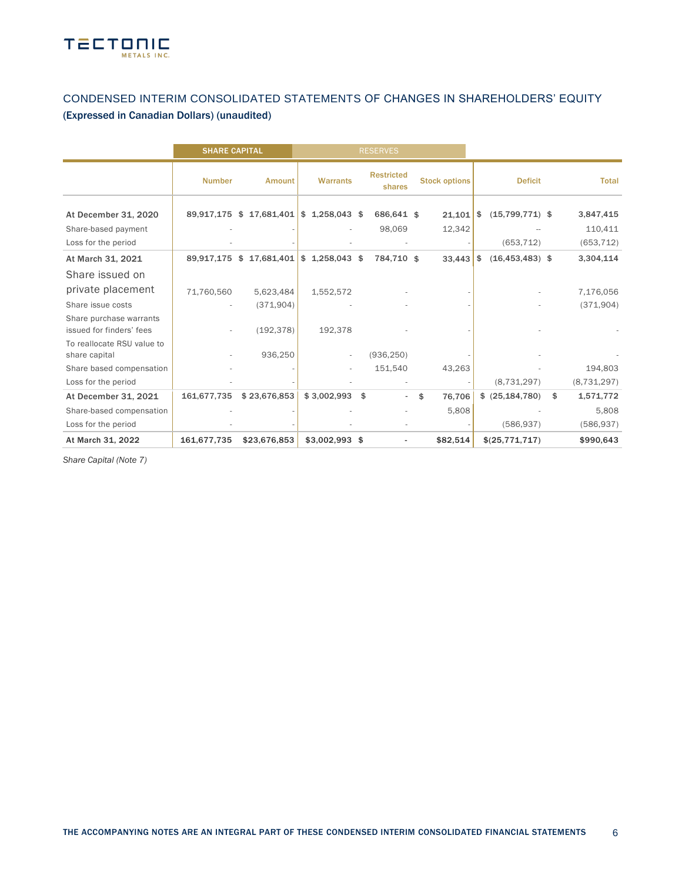

## CONDENSED INTERIM CONSOLIDATED STATEMENTS OF CHANGES IN SHAREHOLDERS' EQUITY (Expressed in Canadian Dollars) (unaudited)

|                                                                    | <b>SHARE CAPITAL</b>     |                          |                          | <b>RESERVES</b>             |                       |                                 |                                    |
|--------------------------------------------------------------------|--------------------------|--------------------------|--------------------------|-----------------------------|-----------------------|---------------------------------|------------------------------------|
|                                                                    | <b>Number</b>            | Amount                   | <b>Warrants</b>          | <b>Restricted</b><br>shares | <b>Stock options</b>  | <b>Deficit</b>                  | <b>Total</b>                       |
| At December 31, 2020<br>Share-based payment<br>Loss for the period |                          | 89,917,175 \$ 17,681,401 | $$1,258,043$ \$          | 686,641 \$<br>98,069        | $21,101$ \$<br>12,342 | $(15,799,771)$ \$<br>(653, 712) | 3,847,415<br>110,411<br>(653, 712) |
| At March 31, 2021                                                  | 89,917,175 \$            | 17,681,401               | $$1,258,043$ \$          | 784,710 \$                  | 33,443                | $(16, 453, 483)$ \$<br>\$       | 3,304,114                          |
| Share issued on                                                    |                          |                          |                          |                             |                       |                                 |                                    |
| private placement                                                  | 71,760,560               | 5,623,484                | 1,552,572                |                             |                       |                                 | 7,176,056                          |
| Share issue costs                                                  |                          | (371, 904)               |                          |                             |                       |                                 | (371,904)                          |
| Share purchase warrants<br>issued for finders' fees                | $\overline{\phantom{a}}$ | (192, 378)               | 192,378                  |                             |                       |                                 |                                    |
| To reallocate RSU value to<br>share capital                        |                          | 936,250                  | $\overline{\phantom{a}}$ | (936, 250)                  |                       |                                 |                                    |
| Share based compensation                                           |                          |                          |                          | 151,540                     | 43,263                |                                 | 194,803                            |
| Loss for the period                                                |                          |                          |                          |                             |                       | (8,731,297)                     | (8, 731, 297)                      |
| At December 31, 2021                                               | 161,677,735              | \$23,676,853             | \$3,002,993              | \$                          | 76,706<br>\$          | \$ (25, 184, 780)               | \$<br>1,571,772                    |
| Share-based compensation                                           |                          |                          |                          |                             | 5,808                 |                                 | 5,808                              |
| Loss for the period                                                |                          |                          |                          |                             |                       | (586, 937)                      | (586, 937)                         |
| At March 31, 2022                                                  | 161,677,735              | \$23,676,853             | \$3,002,993 \$           |                             | \$82,514              | \$(25,771,717)                  | \$990,643                          |

*Share Capital (Note 7)*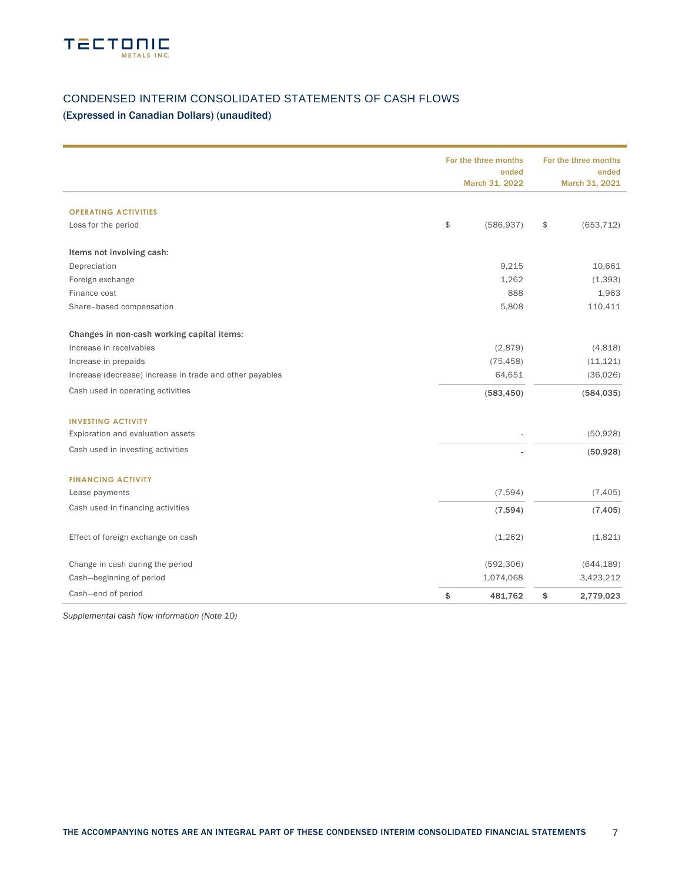

## CONDENSED INTERIM CONSOLIDATED STATEMENTS OF CASH FLOWS

## (Expressed in Canadian Dollars) (unaudited)

|                                                          | For the three months<br>ended<br>March 31, 2022 | For the three months<br>ended<br>March 31, 2021 |
|----------------------------------------------------------|-------------------------------------------------|-------------------------------------------------|
| <b>OPERATING ACTIVITIES</b>                              |                                                 |                                                 |
| Loss for the period                                      | \$<br>(586, 937)                                | \$<br>(653, 712)                                |
| Items not involving cash:                                |                                                 |                                                 |
| Depreciation                                             | 9,215                                           | 10,661                                          |
| Foreign exchange                                         | 1,262                                           | (1, 393)                                        |
| Finance cost                                             | 888                                             | 1,963                                           |
| Share-based compensation                                 | 5,808                                           | 110,411                                         |
| Changes in non-cash working capital items:               |                                                 |                                                 |
| Increase in receivables                                  | (2,879)                                         | (4,818)                                         |
| Increase in prepaids                                     | (75, 458)                                       | (11, 121)                                       |
| Increase (decrease) increase in trade and other payables | 64,651                                          | (36,026)                                        |
| Cash used in operating activities                        | (583, 450)                                      | (584, 035)                                      |
| <b>INVESTING ACTIVITY</b>                                |                                                 |                                                 |
| Exploration and evaluation assets                        |                                                 | (50, 928)                                       |
| Cash used in investing activities                        |                                                 | (50, 928)                                       |
| <b>FINANCING ACTIVITY</b>                                |                                                 |                                                 |
| Lease payments                                           | (7,594)                                         | (7, 405)                                        |
| Cash used in financing activities                        | (7,594)                                         | (7, 405)                                        |
| Effect of foreign exchange on cash                       | (1,262)                                         | (1,821)                                         |
| Change in cash during the period                         | (592, 306)                                      | (644, 189)                                      |
| Cash-beginning of period                                 | 1,074,068                                       | 3,423,212                                       |
| Cash-end of period                                       | \$<br>481,762                                   | \$<br>2,779,023                                 |

*Supplemental cash flow information (Note 10)*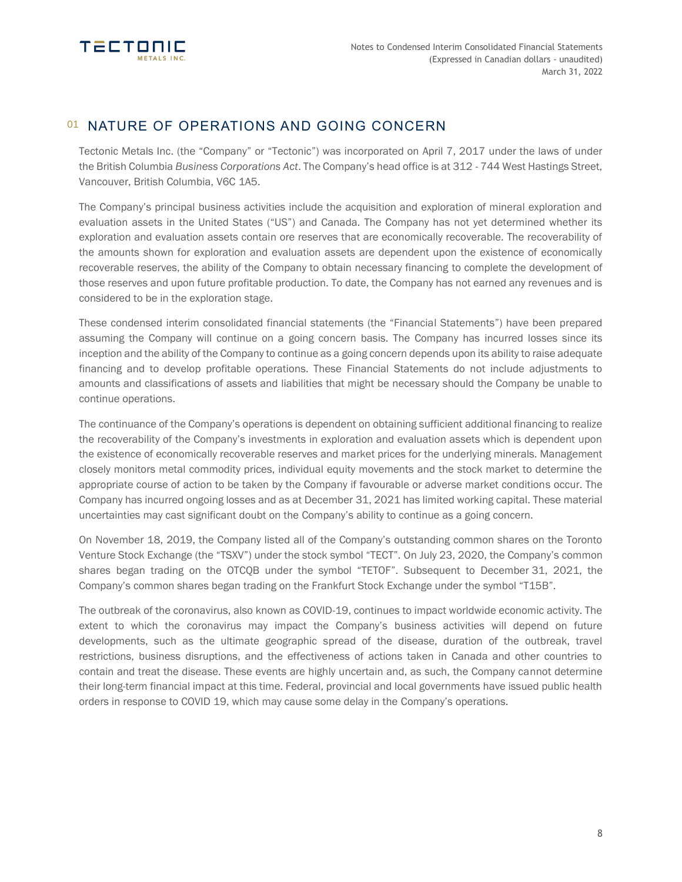

# 01 NATURE OF OPERATIONS AND GOING CONCERN

Tectonic Metals Inc. (the "Company" or "Tectonic") was incorporated on April 7, 2017 under the laws of under the British Columbia *Business Corporations Act*. The Company's head office is at 312 - 744 West Hastings Street, Vancouver, British Columbia, V6C 1A5.

The Company's principal business activities include the acquisition and exploration of mineral exploration and evaluation assets in the United States ("US") and Canada. The Company has not yet determined whether its exploration and evaluation assets contain ore reserves that are economically recoverable. The recoverability of the amounts shown for exploration and evaluation assets are dependent upon the existence of economically recoverable reserves, the ability of the Company to obtain necessary financing to complete the development of those reserves and upon future profitable production. To date, the Company has not earned any revenues and is considered to be in the exploration stage.

These condensed interim consolidated financial statements (the "Financial Statements") have been prepared assuming the Company will continue on a going concern basis. The Company has incurred losses since its inception and the ability of the Company to continue as a going concern depends upon its ability to raise adequate financing and to develop profitable operations. These Financial Statements do not include adjustments to amounts and classifications of assets and liabilities that might be necessary should the Company be unable to continue operations.

The continuance of the Company's operations is dependent on obtaining sufficient additional financing to realize the recoverability of the Company's investments in exploration and evaluation assets which is dependent upon the existence of economically recoverable reserves and market prices for the underlying minerals. Management closely monitors metal commodity prices, individual equity movements and the stock market to determine the appropriate course of action to be taken by the Company if favourable or adverse market conditions occur. The Company has incurred ongoing losses and as at December 31, 2021 has limited working capital. These material uncertainties may cast significant doubt on the Company's ability to continue as a going concern.

On November 18, 2019, the Company listed all of the Company's outstanding common shares on the Toronto Venture Stock Exchange (the "TSXV") under the stock symbol "TECT". On July 23, 2020, the Company's common shares began trading on the OTCQB under the symbol "TETOF". Subsequent to December 31, 2021, the Company's common shares began trading on the Frankfurt Stock Exchange under the symbol "T15B".

The outbreak of the coronavirus, also known as COVID-19, continues to impact worldwide economic activity. The extent to which the coronavirus may impact the Company's business activities will depend on future developments, such as the ultimate geographic spread of the disease, duration of the outbreak, travel restrictions, business disruptions, and the effectiveness of actions taken in Canada and other countries to contain and treat the disease. These events are highly uncertain and, as such, the Company cannot determine their long-term financial impact at this time. Federal, provincial and local governments have issued public health orders in response to COVID 19, which may cause some delay in the Company's operations.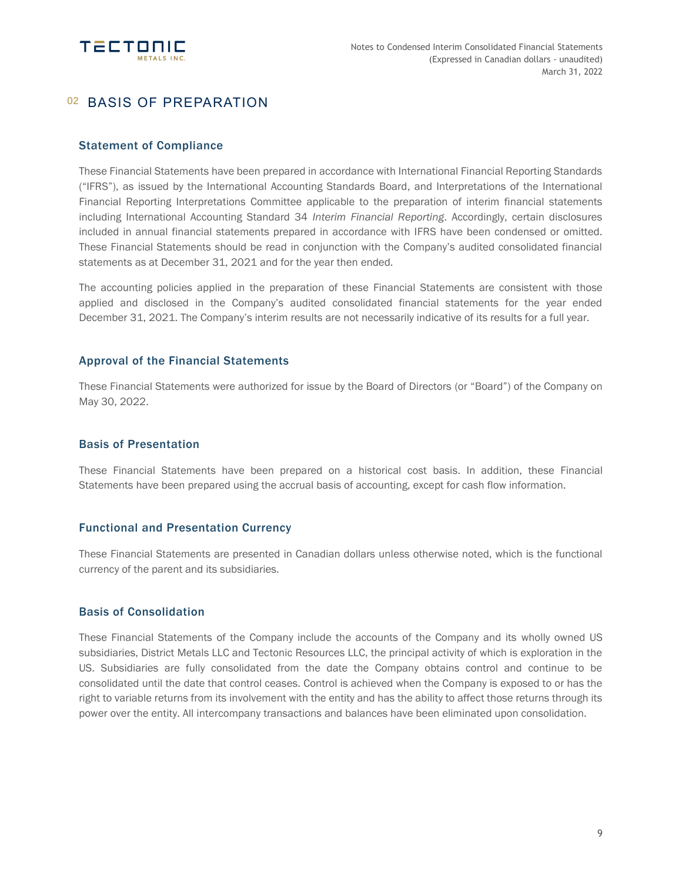

# 02 BASIS OF PREPARATION

## Statement of Compliance

These Financial Statements have been prepared in accordance with International Financial Reporting Standards ("IFRS"), as issued by the International Accounting Standards Board, and Interpretations of the International Financial Reporting Interpretations Committee applicable to the preparation of interim financial statements including International Accounting Standard 34 *Interim Financial Reporting*. Accordingly, certain disclosures included in annual financial statements prepared in accordance with IFRS have been condensed or omitted. These Financial Statements should be read in conjunction with the Company's audited consolidated financial statements as at December 31, 2021 and for the year then ended.

The accounting policies applied in the preparation of these Financial Statements are consistent with those applied and disclosed in the Company's audited consolidated financial statements for the year ended December 31, 2021. The Company's interim results are not necessarily indicative of its results for a full year.

## Approval of the Financial Statements

These Financial Statements were authorized for issue by the Board of Directors (or "Board") of the Company on May 30, 2022.

## Basis of Presentation

These Financial Statements have been prepared on a historical cost basis. In addition, these Financial Statements have been prepared using the accrual basis of accounting, except for cash flow information.

## Functional and Presentation Currency

These Financial Statements are presented in Canadian dollars unless otherwise noted, which is the functional currency of the parent and its subsidiaries.

### Basis of Consolidation

These Financial Statements of the Company include the accounts of the Company and its wholly owned US subsidiaries, District Metals LLC and Tectonic Resources LLC, the principal activity of which is exploration in the US. Subsidiaries are fully consolidated from the date the Company obtains control and continue to be consolidated until the date that control ceases. Control is achieved when the Company is exposed to or has the right to variable returns from its involvement with the entity and has the ability to affect those returns through its power over the entity. All intercompany transactions and balances have been eliminated upon consolidation.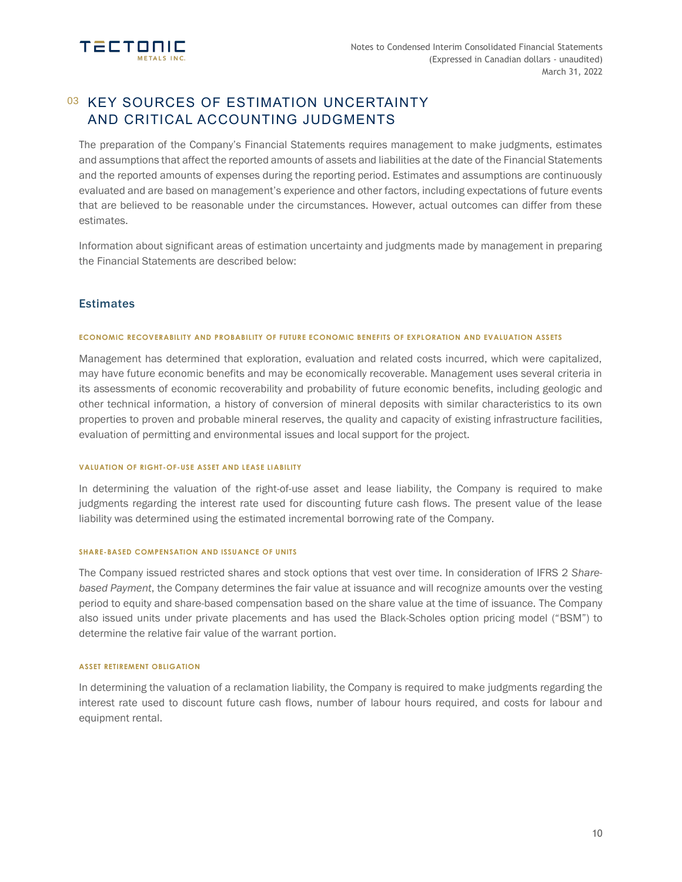

# 03 KEY SOURCES OF ESTIMATION UNCERTAINTY AND CRITICAL ACCOUNTING JUDGMENTS

The preparation of the Company's Financial Statements requires management to make judgments, estimates and assumptions that affect the reported amounts of assets and liabilities at the date of the Financial Statements and the reported amounts of expenses during the reporting period. Estimates and assumptions are continuously evaluated and are based on management's experience and other factors, including expectations of future events that are believed to be reasonable under the circumstances. However, actual outcomes can differ from these estimates.

Information about significant areas of estimation uncertainty and judgments made by management in preparing the Financial Statements are described below:

## **Estimates**

### **ECONOMIC RECOVERABILITY AND PROBABILITY OF FUTURE ECONOMIC BENEFITS OF EXPLORATION AND EVALUATION ASSETS**

Management has determined that exploration, evaluation and related costs incurred, which were capitalized, may have future economic benefits and may be economically recoverable. Management uses several criteria in its assessments of economic recoverability and probability of future economic benefits, including geologic and other technical information, a history of conversion of mineral deposits with similar characteristics to its own properties to proven and probable mineral reserves, the quality and capacity of existing infrastructure facilities, evaluation of permitting and environmental issues and local support for the project.

#### **VALUATION OF RIGHT-OF-USE ASSET AND LEASE LIABILITY**

In determining the valuation of the right-of-use asset and lease liability, the Company is required to make judgments regarding the interest rate used for discounting future cash flows. The present value of the lease liability was determined using the estimated incremental borrowing rate of the Company.

### **SHARE-BASED COMPENSATION AND ISSUANCE OF UNITS**

The Company issued restricted shares and stock options that vest over time. In consideration of IFRS 2 *Sharebased Payment*, the Company determines the fair value at issuance and will recognize amounts over the vesting period to equity and share-based compensation based on the share value at the time of issuance. The Company also issued units under private placements and has used the Black-Scholes option pricing model ("BSM") to determine the relative fair value of the warrant portion.

#### **ASSET RETIREMENT OBLIGATION**

In determining the valuation of a reclamation liability, the Company is required to make judgments regarding the interest rate used to discount future cash flows, number of labour hours required, and costs for labour and equipment rental.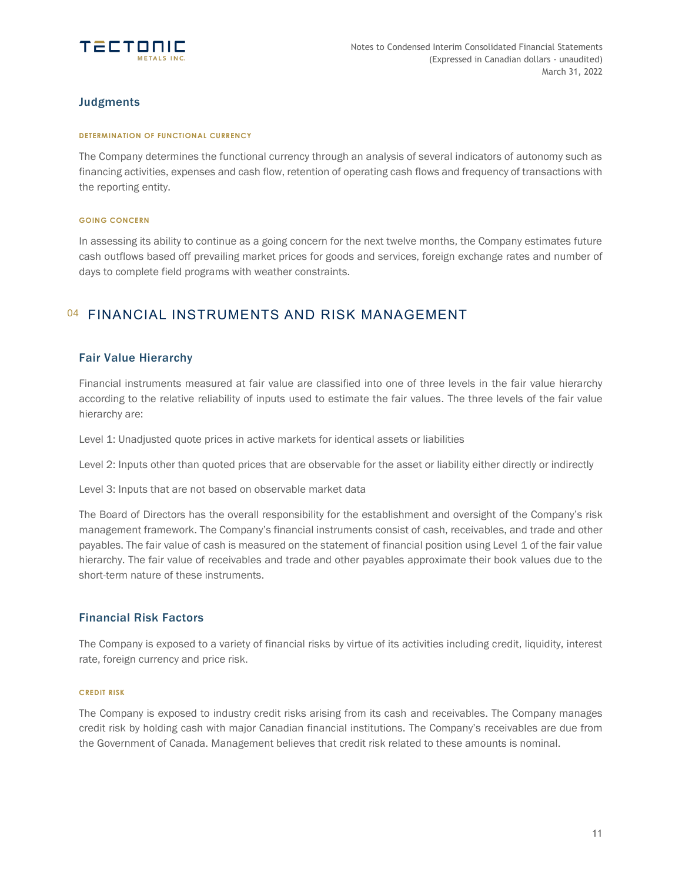

## **Judgments**

### **DETERMINATION OF FUNCTIONAL CURRENCY**

The Company determines the functional currency through an analysis of several indicators of autonomy such as financing activities, expenses and cash flow, retention of operating cash flows and frequency of transactions with the reporting entity.

### **GOING CONCERN**

In assessing its ability to continue as a going concern for the next twelve months, the Company estimates future cash outflows based off prevailing market prices for goods and services, foreign exchange rates and number of days to complete field programs with weather constraints.

## 04 FINANCIAL INSTRUMENTS AND RISK MANAGEMENT

## Fair Value Hierarchy

Financial instruments measured at fair value are classified into one of three levels in the fair value hierarchy according to the relative reliability of inputs used to estimate the fair values. The three levels of the fair value hierarchy are:

Level 1: Unadjusted quote prices in active markets for identical assets or liabilities

Level 2: Inputs other than quoted prices that are observable for the asset or liability either directly or indirectly

Level 3: Inputs that are not based on observable market data

The Board of Directors has the overall responsibility for the establishment and oversight of the Company's risk management framework. The Company's financial instruments consist of cash, receivables, and trade and other payables. The fair value of cash is measured on the statement of financial position using Level 1 of the fair value hierarchy. The fair value of receivables and trade and other payables approximate their book values due to the short-term nature of these instruments.

### Financial Risk Factors

The Company is exposed to a variety of financial risks by virtue of its activities including credit, liquidity, interest rate, foreign currency and price risk.

### **CREDIT RISK**

The Company is exposed to industry credit risks arising from its cash and receivables. The Company manages credit risk by holding cash with major Canadian financial institutions. The Company's receivables are due from the Government of Canada. Management believes that credit risk related to these amounts is nominal.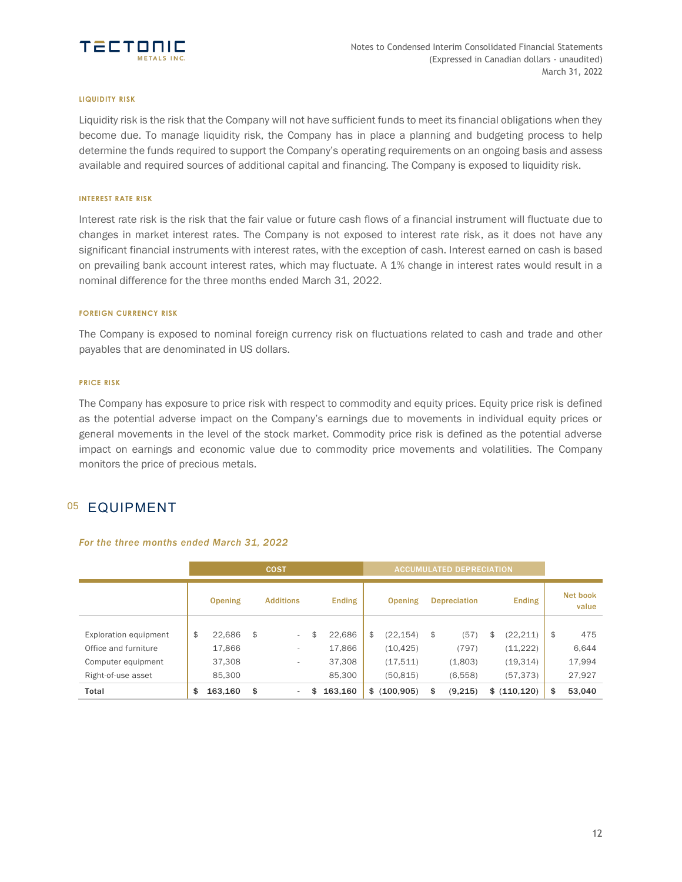

#### **LIQUIDITY RISK**

Liquidity risk is the risk that the Company will not have sufficient funds to meet its financial obligations when they become due. To manage liquidity risk, the Company has in place a planning and budgeting process to help determine the funds required to support the Company's operating requirements on an ongoing basis and assess available and required sources of additional capital and financing. The Company is exposed to liquidity risk.

#### **INTEREST RATE RISK**

Interest rate risk is the risk that the fair value or future cash flows of a financial instrument will fluctuate due to changes in market interest rates. The Company is not exposed to interest rate risk, as it does not have any significant financial instruments with interest rates, with the exception of cash. Interest earned on cash is based on prevailing bank account interest rates, which may fluctuate. A 1% change in interest rates would result in a nominal difference for the three months ended March 31, 2022.

### **FOREIGN CURRENCY RISK**

The Company is exposed to nominal foreign currency risk on fluctuations related to cash and trade and other payables that are denominated in US dollars.

### **PRICE RISK**

The Company has exposure to price risk with respect to commodity and equity prices. Equity price risk is defined as the potential adverse impact on the Company's earnings due to movements in individual equity prices or general movements in the level of the stock market. Commodity price risk is defined as the potential adverse impact on earnings and economic value due to commodity price movements and volatilities. The Company monitors the price of precious metals.

## 05 EQUIPMENT

### *For the three months ended March 31, 2022*

|                                               | <b>COST</b> |                  |    |                                    |    |                  |    |                        | <b>ACCUMULATED DEPRECIATION</b> |                             |                    |
|-----------------------------------------------|-------------|------------------|----|------------------------------------|----|------------------|----|------------------------|---------------------------------|-----------------------------|--------------------|
|                                               |             | <b>Opening</b>   |    | <b>Additions</b>                   |    | <b>Ending</b>    |    | <b>Opening</b>         | <b>Depreciation</b>             | <b>Ending</b>               | Net book<br>value  |
| Exploration equipment<br>Office and furniture | \$          | 22,686<br>17,866 | \$ | $\overline{\phantom{a}}$<br>$\sim$ | \$ | 22,686<br>17,866 | \$ | (22, 154)<br>(10, 425) | \$<br>(57)<br>(797)             | \$<br>(22, 211)<br>(11,222) | \$<br>475<br>6,644 |
| Computer equipment                            |             | 37,308           |    | $\sim$                             |    | 37,308           |    | (17, 511)              | (1,803)                         | (19,314)                    | 17,994             |
| Right-of-use asset                            |             | 85,300           |    |                                    |    | 85,300           |    | (50, 815)              | (6,558)                         | (57, 373)                   | 27,927             |
| Total                                         | \$          | 163,160          | \$ | $\sim$                             | \$ | 163,160          |    | \$ (100.905)           | \$<br>(9,215)                   | \$ (110.120)                | \$<br>53,040       |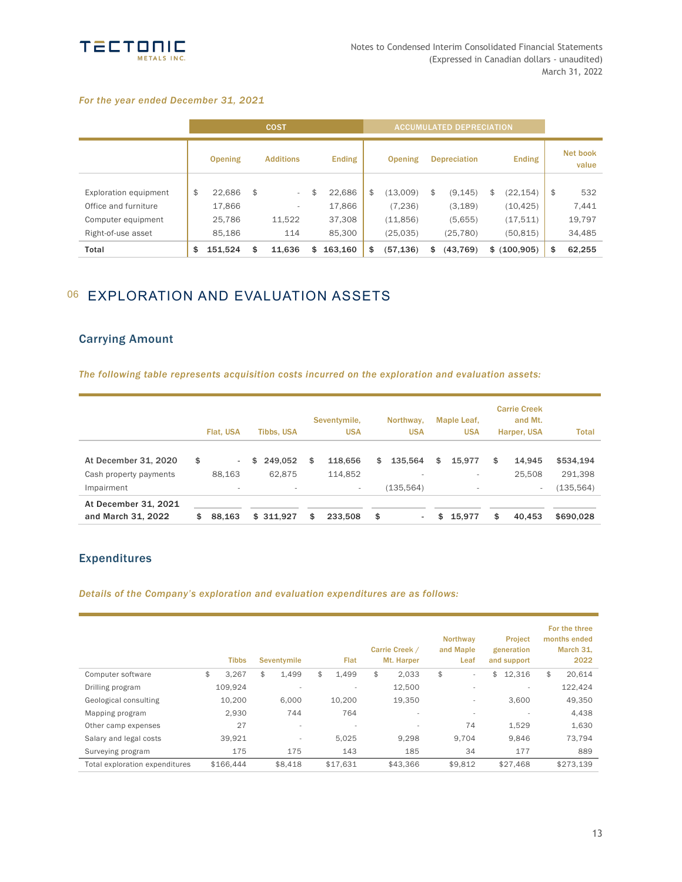

### *For the year ended December 31, 2021*

|                       |               | <b>COST</b>      |               | <b>ACCUMULATED DEPRECIATION</b> |    |                     |                 |                   |
|-----------------------|---------------|------------------|---------------|---------------------------------|----|---------------------|-----------------|-------------------|
|                       | Opening       | <b>Additions</b> | <b>Ending</b> | Opening                         |    | <b>Depreciation</b> | <b>Ending</b>   | Net book<br>value |
| Exploration equipment | \$<br>22,686  | \$<br>٠          | \$<br>22,686  | \$<br>(13,009)                  | \$ | (9, 145)            | \$<br>(22, 154) | \$<br>532         |
| Office and furniture  | 17,866        | ۰                | 17,866        | (7, 236)                        |    | (3, 189)            | (10, 425)       | 7,441             |
| Computer equipment    | 25,786        | 11,522           | 37,308        | (11, 856)                       |    | (5,655)             | (17,511)        | 19,797            |
| Right-of-use asset    | 85,186        | 114              | 85,300        | (25,035)                        |    | (25, 780)           | (50, 815)       | 34,485            |
| Total                 | \$<br>151.524 | \$<br>11.636     | \$<br>163.160 | \$<br>(57, 136)                 | \$ | (43, 769)           | \$ (100, 905)   | \$<br>62.255      |

# 06 EXPLORATION AND EVALUATION ASSETS

## Carrying Amount

*The following table represents acquisition costs incurred on the exploration and evaluation assets:*

|                        | Flat, USA    | <b>Tibbs, USA</b> | Seventymile,<br><b>USA</b> | Northway,<br><b>USA</b> | Maple Leaf,<br><b>USA</b> | <b>Carrie Creek</b><br>and Mt.<br>Harper, USA | <b>Total</b> |
|------------------------|--------------|-------------------|----------------------------|-------------------------|---------------------------|-----------------------------------------------|--------------|
| At December 31, 2020   | \$<br>$\sim$ | \$<br>249,052     | \$<br>118,656              | \$<br>135.564           | \$<br>15.977              | \$<br>14.945                                  | \$534,194    |
| Cash property payments | 88.163       | 62.875            | 114,852                    | ٠                       | $\overline{\phantom{a}}$  | 25.508                                        | 291,398      |
| Impairment             | ٠            | $\sim$            | ۰.                         | (135, 564)              | $\sim$                    | ٠                                             | (135, 564)   |
| At December 31, 2021   |              |                   |                            |                         |                           |                                               |              |
| and March 31, 2022     | \$<br>88,163 | \$311.927         | \$<br>233.508              | \$<br>۰                 | \$<br>15.977              | \$<br>40.453                                  | \$690.028    |

## Expenditures

*Details of the Company's exploration and evaluation expenditures are as follows:*

|                                | <b>Tibbs</b> | <b>Seventymile</b>       | Flat                     | Carrie Creek /<br>Mt. Harper | <b>Northway</b><br>and Maple<br>Leaf | <b>Project</b><br>generation<br>and support | For the three<br>months ended<br>March 31,<br>2022 |
|--------------------------------|--------------|--------------------------|--------------------------|------------------------------|--------------------------------------|---------------------------------------------|----------------------------------------------------|
| Computer software              | \$<br>3,267  | \$<br>1.499              | \$<br>1.499              | \$<br>2,033                  | \$<br>$\sim$                         | \$<br>12,316                                | \$<br>20,614                                       |
| Drilling program               | 109.924      | $\overline{\phantom{a}}$ | $\overline{\phantom{a}}$ | 12,500                       | $\overline{\phantom{a}}$             | $\overline{\phantom{a}}$                    | 122,424                                            |
| Geological consulting          | 10,200       | 6,000                    | 10,200                   | 19,350                       | $\overline{\phantom{a}}$             | 3,600                                       | 49,350                                             |
| Mapping program                | 2,930        | 744                      | 764                      | $\overline{\phantom{a}}$     | $\overline{\phantom{a}}$             | $\overline{a}$                              | 4,438                                              |
| Other camp expenses            | 27           | $\overline{\phantom{a}}$ | $\overline{\phantom{a}}$ | $\overline{\phantom{a}}$     | 74                                   | 1,529                                       | 1,630                                              |
| Salary and legal costs         | 39,921       | $\overline{\phantom{a}}$ | 5,025                    | 9,298                        | 9,704                                | 9,846                                       | 73,794                                             |
| Surveying program              | 175          | 175                      | 143                      | 185                          | 34                                   | 177                                         | 889                                                |
| Total exploration expenditures | \$166.444    | \$8.418                  | \$17.631                 | \$43.366                     | \$9.812                              | \$27.468                                    | \$273.139                                          |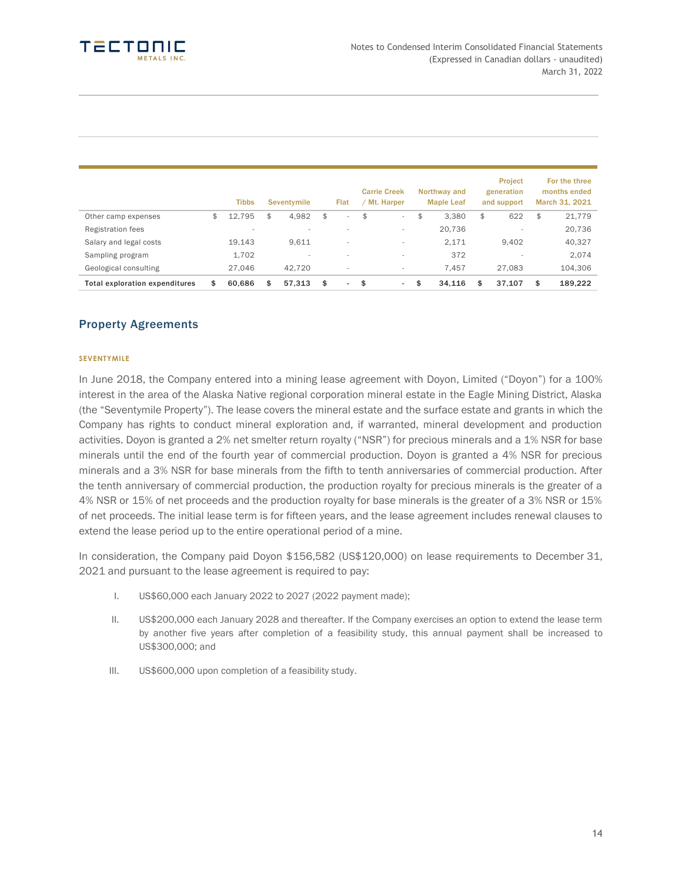|                                       | <b>Tibbs</b>             | Seventymile              | Flat                           | <b>Carrie Creek</b><br>Mt. Harper | Northway and<br><b>Maple Leaf</b> | <b>Project</b><br>generation<br>and support | For the three<br>months ended<br>March 31, 2021 |
|---------------------------------------|--------------------------|--------------------------|--------------------------------|-----------------------------------|-----------------------------------|---------------------------------------------|-------------------------------------------------|
| Other camp expenses                   | \$<br>12,795             | \$<br>4,982              | \$<br>$\sim$                   | \$<br>$\sim$                      | \$<br>3.380                       | \$<br>622                                   | \$<br>21,779                                    |
| <b>Registration fees</b>              | $\overline{\phantom{a}}$ | $\overline{\phantom{0}}$ |                                | $\overline{\phantom{a}}$          | 20,736                            |                                             | 20,736                                          |
| Salary and legal costs                | 19.143                   | 9.611                    | $\overline{\phantom{a}}$       | $\overline{\phantom{a}}$          | 2.171                             | 9.402                                       | 40,327                                          |
| Sampling program                      | 1,702                    |                          |                                | $\overline{\phantom{a}}$          | 372                               |                                             | 2.074                                           |
| Geological consulting                 | 27.046                   | 42.720                   | $\,$                           | $\overline{\phantom{a}}$          | 7.457                             | 27.083                                      | 104,306                                         |
| <b>Total exploration expenditures</b> | \$<br>60.686             | \$<br>57.313             | \$<br>$\overline{\phantom{a}}$ | \$<br>$\sim$                      | \$<br>34.116                      | \$<br>37.107                                | \$<br>189,222                                   |

## Property Agreements

### **SEVENTYMILE**

In June 2018, the Company entered into a mining lease agreement with Doyon, Limited ("Doyon") for a 100% interest in the area of the Alaska Native regional corporation mineral estate in the Eagle Mining District, Alaska (the "Seventymile Property"). The lease covers the mineral estate and the surface estate and grants in which the Company has rights to conduct mineral exploration and, if warranted, mineral development and production activities. Doyon is granted a 2% net smelter return royalty ("NSR") for precious minerals and a 1% NSR for base minerals until the end of the fourth year of commercial production. Doyon is granted a 4% NSR for precious minerals and a 3% NSR for base minerals from the fifth to tenth anniversaries of commercial production. After the tenth anniversary of commercial production, the production royalty for precious minerals is the greater of a 4% NSR or 15% of net proceeds and the production royalty for base minerals is the greater of a 3% NSR or 15% of net proceeds. The initial lease term is for fifteen years, and the lease agreement includes renewal clauses to extend the lease period up to the entire operational period of a mine.

In consideration, the Company paid Doyon \$156,582 (US\$120,000) on lease requirements to December 31, 2021 and pursuant to the lease agreement is required to pay:

- I. US\$60,000 each January 2022 to 2027 (2022 payment made);
- II. US\$200,000 each January 2028 and thereafter. If the Company exercises an option to extend the lease term by another five years after completion of a feasibility study, this annual payment shall be increased to US\$300,000; and
- III. US\$600,000 upon completion of a feasibility study.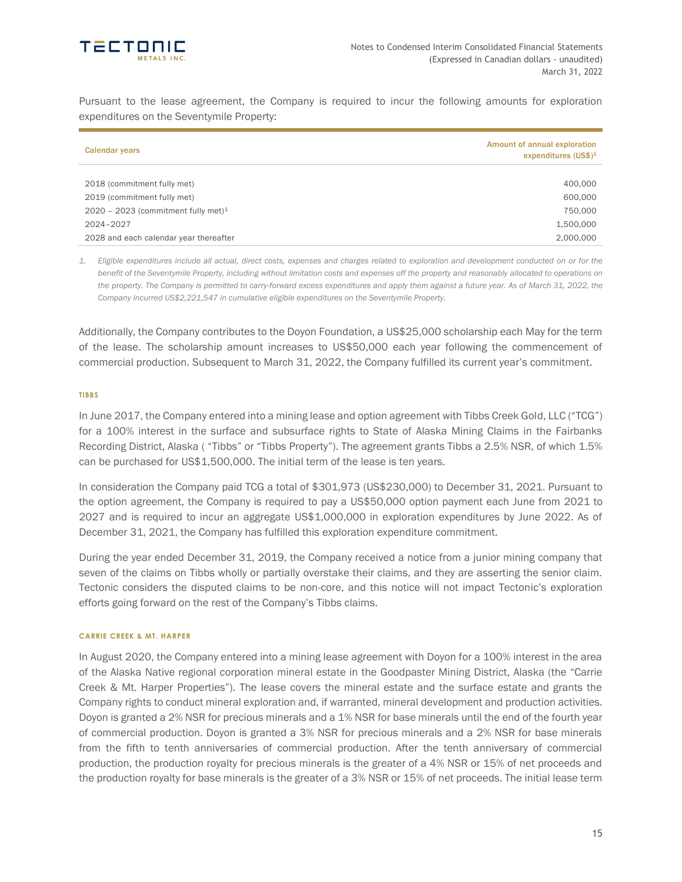

Pursuant to the lease agreement, the Company is required to incur the following amounts for exploration expenditures on the Seventymile Property:

| <b>Calendar years</b>                  | Amount of annual exploration<br>expenditures $(US$)^1$ |
|----------------------------------------|--------------------------------------------------------|
|                                        |                                                        |
| 2018 (commitment fully met)            | 400,000                                                |
| 2019 (commitment fully met)            | 600,000                                                |
| 2020 - 2023 (commitment fully met) $1$ | 750,000                                                |
| 2024-2027                              | 1,500,000                                              |
| 2028 and each calendar year thereafter | 2,000,000                                              |

*1. Eligible expenditures include all actual, direct costs, expenses and charges related to exploration and development conducted on or for the benefit of the Seventymile Property, including without limitation costs and expenses off the property and reasonably allocated to operations on the property. The Company is permitted to carry-forward excess expenditures and apply them against a future year. As of March 31, 2022, the Company incurred US\$2,221,547 in cumulative eligible expenditures on the Seventymile Property.*

Additionally, the Company contributes to the Doyon Foundation, a US\$25,000 scholarship each May for the term of the lease. The scholarship amount increases to US\$50,000 each year following the commencement of commercial production. Subsequent to March 31, 2022, the Company fulfilled its current year's commitment.

### **TIBBS**

In June 2017, the Company entered into a mining lease and option agreement with Tibbs Creek Gold, LLC ("TCG") for a 100% interest in the surface and subsurface rights to State of Alaska Mining Claims in the Fairbanks Recording District, Alaska ( "Tibbs" or "Tibbs Property"). The agreement grants Tibbs a 2.5% NSR, of which 1.5% can be purchased for US\$1,500,000. The initial term of the lease is ten years.

In consideration the Company paid TCG a total of \$301,973 (US\$230,000) to December 31, 2021. Pursuant to the option agreement, the Company is required to pay a US\$50,000 option payment each June from 2021 to 2027 and is required to incur an aggregate US\$1,000,000 in exploration expenditures by June 2022. As of December 31, 2021, the Company has fulfilled this exploration expenditure commitment.

During the year ended December 31, 2019, the Company received a notice from a junior mining company that seven of the claims on Tibbs wholly or partially overstake their claims, and they are asserting the senior claim. Tectonic considers the disputed claims to be non-core, and this notice will not impact Tectonic's exploration efforts going forward on the rest of the Company's Tibbs claims.

#### **CARRIE CREEK & MT. HARPER**

In August 2020, the Company entered into a mining lease agreement with Doyon for a 100% interest in the area of the Alaska Native regional corporation mineral estate in the Goodpaster Mining District, Alaska (the "Carrie Creek & Mt. Harper Properties"). The lease covers the mineral estate and the surface estate and grants the Company rights to conduct mineral exploration and, if warranted, mineral development and production activities. Doyon is granted a 2% NSR for precious minerals and a 1% NSR for base minerals until the end of the fourth year of commercial production. Doyon is granted a 3% NSR for precious minerals and a 2% NSR for base minerals from the fifth to tenth anniversaries of commercial production. After the tenth anniversary of commercial production, the production royalty for precious minerals is the greater of a 4% NSR or 15% of net proceeds and the production royalty for base minerals is the greater of a 3% NSR or 15% of net proceeds. The initial lease term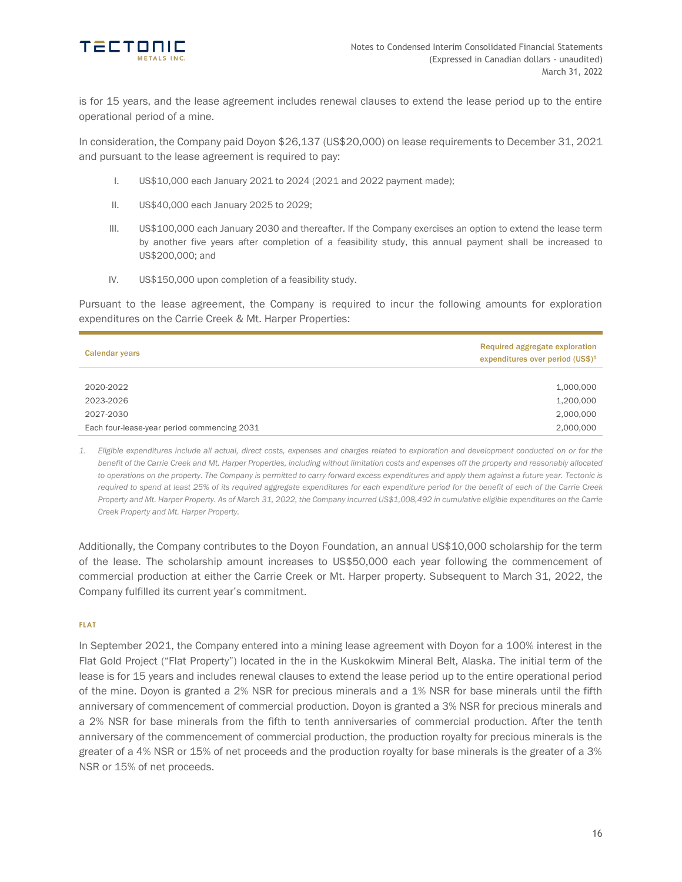

is for 15 years, and the lease agreement includes renewal clauses to extend the lease period up to the entire operational period of a mine.

In consideration, the Company paid Doyon \$26,137 (US\$20,000) on lease requirements to December 31, 2021 and pursuant to the lease agreement is required to pay:

- I. US\$10,000 each January 2021 to 2024 (2021 and 2022 payment made);
- II. US\$40,000 each January 2025 to 2029;
- III. US\$100,000 each January 2030 and thereafter. If the Company exercises an option to extend the lease term by another five years after completion of a feasibility study, this annual payment shall be increased to US\$200,000; and
- IV. US\$150,000 upon completion of a feasibility study.

Pursuant to the lease agreement, the Company is required to incur the following amounts for exploration expenditures on the Carrie Creek & Mt. Harper Properties:

| <b>Calendar years</b>                       | Required aggregate exploration<br>expenditures over period (US\$) <sup>1</sup> |
|---------------------------------------------|--------------------------------------------------------------------------------|
|                                             |                                                                                |
| 2020-2022                                   | 1,000,000                                                                      |
| 2023-2026                                   | 1,200,000                                                                      |
| 2027-2030                                   | 2,000,000                                                                      |
| Each four-lease-year period commencing 2031 | 2,000,000                                                                      |

*1. Eligible expenditures include all actual, direct costs, expenses and charges related to exploration and development conducted on or for the benefit of the Carrie Creek and Mt. Harper Properties, including without limitation costs and expenses off the property and reasonably allocated to operations on the property. The Company is permitted to carry-forward excess expenditures and apply them against a future year. Tectonic is required to spend at least 25% of its required aggregate expenditures for each expenditure period for the benefit of each of the Carrie Creek Property and Mt. Harper Property. As of March 31, 2022, the Company incurred US\$1,008,492 in cumulative eligible expenditures on the Carrie Creek Property and Mt. Harper Property.*

Additionally, the Company contributes to the Doyon Foundation, an annual US\$10,000 scholarship for the term of the lease. The scholarship amount increases to US\$50,000 each year following the commencement of commercial production at either the Carrie Creek or Mt. Harper property. Subsequent to March 31, 2022, the Company fulfilled its current year's commitment.

### **FLAT**

In September 2021, the Company entered into a mining lease agreement with Doyon for a 100% interest in the Flat Gold Project ("Flat Property") located in the in the Kuskokwim Mineral Belt, Alaska. The initial term of the lease is for 15 years and includes renewal clauses to extend the lease period up to the entire operational period of the mine. Doyon is granted a 2% NSR for precious minerals and a 1% NSR for base minerals until the fifth anniversary of commencement of commercial production. Doyon is granted a 3% NSR for precious minerals and a 2% NSR for base minerals from the fifth to tenth anniversaries of commercial production. After the tenth anniversary of the commencement of commercial production, the production royalty for precious minerals is the greater of a 4% NSR or 15% of net proceeds and the production royalty for base minerals is the greater of a 3% NSR or 15% of net proceeds.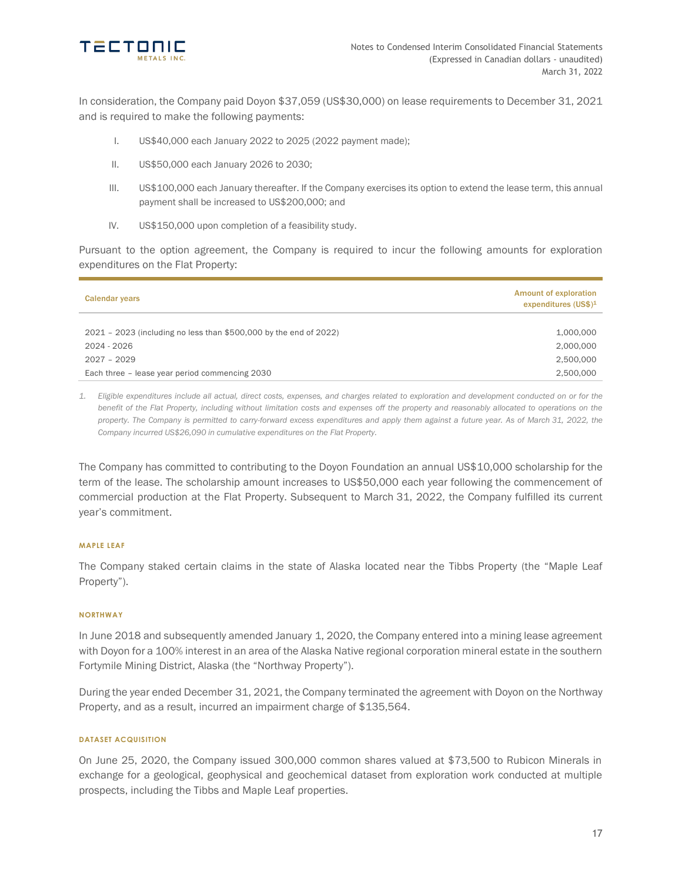

In consideration, the Company paid Doyon \$37,059 (US\$30,000) on lease requirements to December 31, 2021 and is required to make the following payments:

- I. US\$40,000 each January 2022 to 2025 (2022 payment made);
- II. US\$50,000 each January 2026 to 2030;
- III. US\$100,000 each January thereafter. If the Company exercises its option to extend the lease term, this annual payment shall be increased to US\$200,000; and
- IV. US\$150,000 upon completion of a feasibility study.

Pursuant to the option agreement, the Company is required to incur the following amounts for exploration expenditures on the Flat Property:

| <b>Calendar years</b>                                             | <b>Amount of exploration</b><br>expenditures $(US$)^1$ |
|-------------------------------------------------------------------|--------------------------------------------------------|
|                                                                   |                                                        |
| 2021 - 2023 (including no less than \$500,000 by the end of 2022) | 1,000,000                                              |
| 2024 - 2026                                                       | 2,000,000                                              |
| $2027 - 2029$                                                     | 2,500,000                                              |
| Each three - lease year period commencing 2030                    | 2.500.000                                              |

*1. Eligible expenditures include all actual, direct costs, expenses, and charges related to exploration and development conducted on or for the benefit of the Flat Property, including without limitation costs and expenses off the property and reasonably allocated to operations on the property. The Company is permitted to carry-forward excess expenditures and apply them against a future year. As of March 31, 2022, the Company incurred US\$26,090 in cumulative expenditures on the Flat Property.*

The Company has committed to contributing to the Doyon Foundation an annual US\$10,000 scholarship for the term of the lease. The scholarship amount increases to US\$50,000 each year following the commencement of commercial production at the Flat Property. Subsequent to March 31, 2022, the Company fulfilled its current year's commitment.

### **MAPLE LEAF**

The Company staked certain claims in the state of Alaska located near the Tibbs Property (the "Maple Leaf Property").

### **NORTHWAY**

In June 2018 and subsequently amended January 1, 2020, the Company entered into a mining lease agreement with Doyon for a 100% interest in an area of the Alaska Native regional corporation mineral estate in the southern Fortymile Mining District, Alaska (the "Northway Property").

During the year ended December 31, 2021, the Company terminated the agreement with Doyon on the Northway Property, and as a result, incurred an impairment charge of \$135,564.

### **DATASET ACQUISITION**

On June 25, 2020, the Company issued 300,000 common shares valued at \$73,500 to Rubicon Minerals in exchange for a geological, geophysical and geochemical dataset from exploration work conducted at multiple prospects, including the Tibbs and Maple Leaf properties.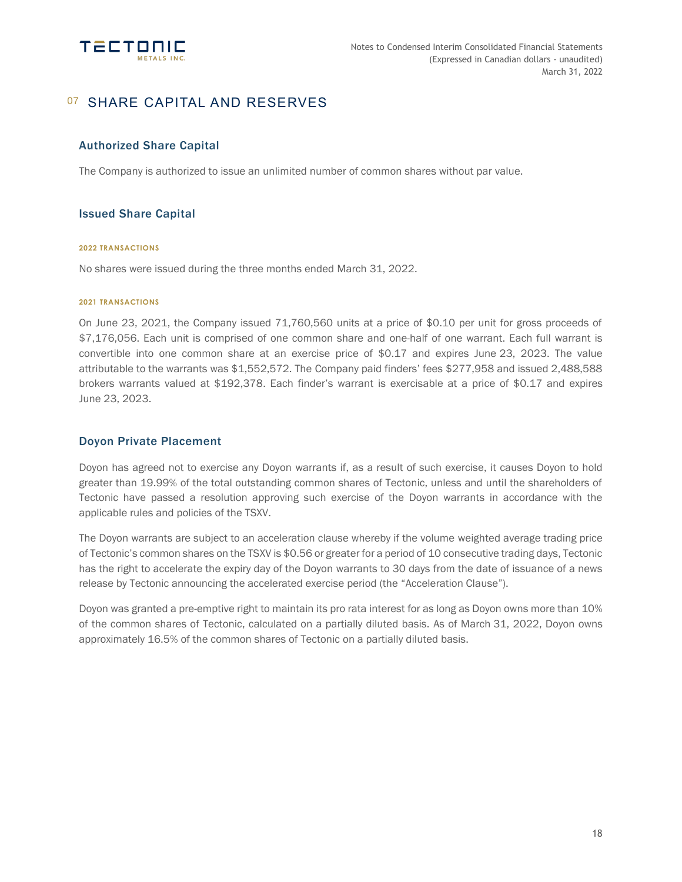

# 07 SHARE CAPITAL AND RESERVES

## Authorized Share Capital

The Company is authorized to issue an unlimited number of common shares without par value.

## Issued Share Capital

### **2022 TRANSACTIONS**

No shares were issued during the three months ended March 31, 2022.

#### **2021 TRANSACTIONS**

On June 23, 2021, the Company issued 71,760,560 units at a price of \$0.10 per unit for gross proceeds of \$7,176,056. Each unit is comprised of one common share and one-half of one warrant. Each full warrant is convertible into one common share at an exercise price of \$0.17 and expires June 23, 2023. The value attributable to the warrants was \$1,552,572. The Company paid finders' fees \$277,958 and issued 2,488,588 brokers warrants valued at \$192,378. Each finder's warrant is exercisable at a price of \$0.17 and expires June 23, 2023.

### Doyon Private Placement

Doyon has agreed not to exercise any Doyon warrants if, as a result of such exercise, it causes Doyon to hold greater than 19.99% of the total outstanding common shares of Tectonic, unless and until the shareholders of Tectonic have passed a resolution approving such exercise of the Doyon warrants in accordance with the applicable rules and policies of the TSXV.

The Doyon warrants are subject to an acceleration clause whereby if the volume weighted average trading price of Tectonic's common shares on the TSXV is \$0.56 or greater for a period of 10 consecutive trading days, Tectonic has the right to accelerate the expiry day of the Doyon warrants to 30 days from the date of issuance of a news release by Tectonic announcing the accelerated exercise period (the "Acceleration Clause").

Doyon was granted a pre-emptive right to maintain its pro rata interest for as long as Doyon owns more than 10% of the common shares of Tectonic, calculated on a partially diluted basis. As of March 31, 2022, Doyon owns approximately 16.5% of the common shares of Tectonic on a partially diluted basis.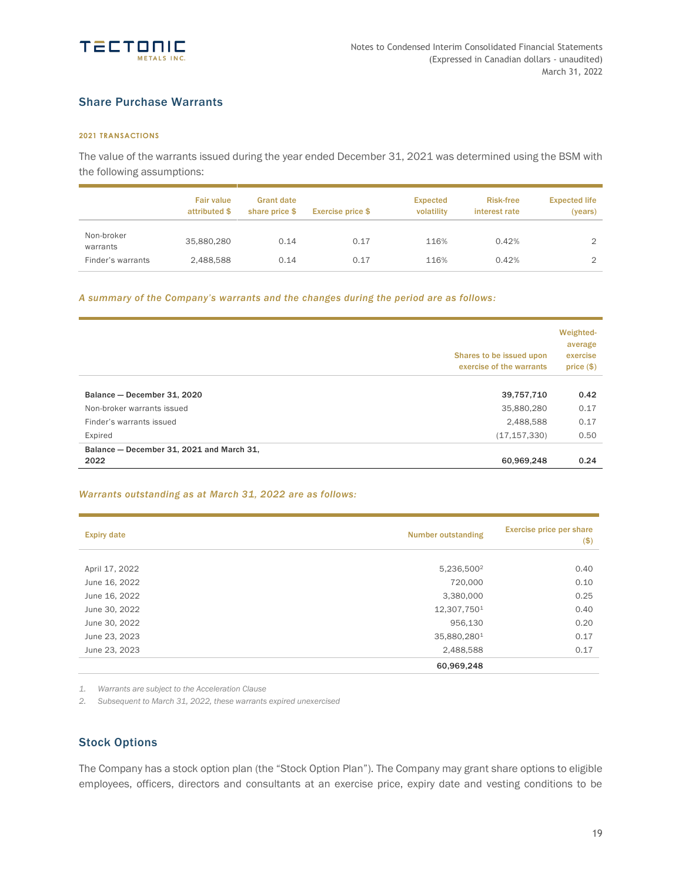

## Share Purchase Warrants

### **2021 TRANSACTIONS**

The value of the warrants issued during the year ended December 31, 2021 was determined using the BSM with the following assumptions:

|                        | <b>Fair value</b><br>attributed \$ | <b>Grant date</b><br>share price \$ | <b>Exercise price \$</b> | <b>Expected</b><br>volatility | <b>Risk-free</b><br>interest rate | <b>Expected life</b><br>(years) |
|------------------------|------------------------------------|-------------------------------------|--------------------------|-------------------------------|-----------------------------------|---------------------------------|
| Non-broker<br>warrants | 35,880,280                         | 0.14                                | 0.17                     | 116%                          | 0.42%                             |                                 |
| Finder's warrants      | 2,488,588                          | 0.14                                | 0.17                     | 116%                          | 0.42%                             |                                 |

*A summary of the Company's warrants and the changes during the period are as follows:*

|                                           | Shares to be issued upon<br>exercise of the warrants | Weighted-<br>average<br>exercise<br>price(\$) |
|-------------------------------------------|------------------------------------------------------|-----------------------------------------------|
| Balance - December 31, 2020               | 39,757,710                                           | 0.42                                          |
| Non-broker warrants issued                | 35,880,280                                           | 0.17                                          |
| Finder's warrants issued                  | 2,488,588                                            | 0.17                                          |
| Expired                                   | (17, 157, 330)                                       | 0.50                                          |
| Balance - December 31, 2021 and March 31, |                                                      |                                               |
| 2022                                      | 60,969,248                                           | 0.24                                          |

### *Warrants outstanding as at March 31, 2022 are as follows:*

| <b>Expiry date</b> | <b>Number outstanding</b> | Exercise price per share<br>$($ \$) |  |
|--------------------|---------------------------|-------------------------------------|--|
| April 17, 2022     | 5,236,500 <sup>2</sup>    | 0.40                                |  |
| June 16, 2022      | 720,000                   | 0.10                                |  |
| June 16, 2022      | 3,380,000                 | 0.25                                |  |
| June 30, 2022      | 12,307,7501               | 0.40                                |  |
| June 30, 2022      | 956,130                   | 0.20                                |  |
| June 23, 2023      | 35,880,2801               | 0.17                                |  |
| June 23, 2023      | 2,488,588                 | 0.17                                |  |
|                    | 60,969,248                |                                     |  |

*1. Warrants are subject to the Acceleration Clause*

*2. Subsequent to March 31, 2022, these warrants expired unexercised*

## Stock Options

The Company has a stock option plan (the "Stock Option Plan"). The Company may grant share options to eligible employees, officers, directors and consultants at an exercise price, expiry date and vesting conditions to be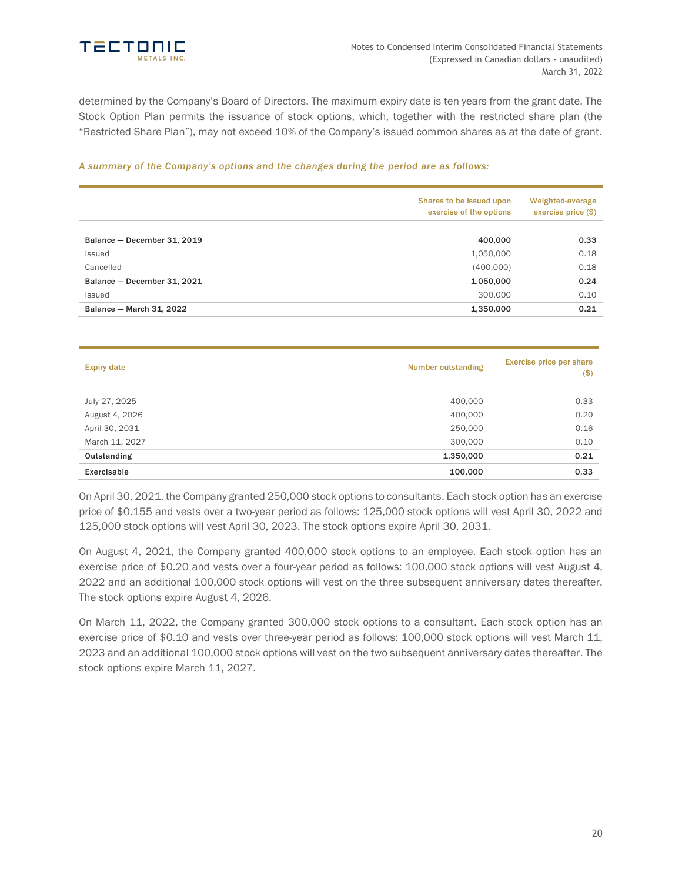

determined by the Company's Board of Directors. The maximum expiry date is ten years from the grant date. The Stock Option Plan permits the issuance of stock options, which, together with the restricted share plan (the "Restricted Share Plan"), may not exceed 10% of the Company's issued common shares as at the date of grant.

### *A summary of the Company's options and the changes during the period are as follows:*

|                             | Shares to be issued upon<br>exercise of the options | Weighted-average<br>exercise price $(\$)$ |
|-----------------------------|-----------------------------------------------------|-------------------------------------------|
| Balance - December 31, 2019 | 400,000                                             | 0.33                                      |
| Issued                      | 1,050,000                                           | 0.18                                      |
| Cancelled                   | (400,000)                                           | 0.18                                      |
| Balance - December 31, 2021 | 1,050,000                                           | 0.24                                      |
| Issued                      | 300,000                                             | 0.10                                      |
| Balance - March 31, 2022    | 1,350,000                                           | 0.21                                      |

| Number outstanding<br><b>Expiry date</b> |           | Exercise price per share<br>$($ \$) |
|------------------------------------------|-----------|-------------------------------------|
|                                          |           |                                     |
| July 27, 2025                            | 400,000   | 0.33                                |
| August 4, 2026                           | 400,000   | 0.20                                |
| April 30, 2031                           | 250,000   | 0.16                                |
| March 11, 2027                           | 300,000   | 0.10                                |
| Outstanding                              | 1,350,000 | 0.21                                |
| Exercisable                              | 100,000   | 0.33                                |

On April 30, 2021, the Company granted 250,000 stock options to consultants. Each stock option has an exercise price of \$0.155 and vests over a two-year period as follows: 125,000 stock options will vest April 30, 2022 and 125,000 stock options will vest April 30, 2023. The stock options expire April 30, 2031.

On August 4, 2021, the Company granted 400,000 stock options to an employee. Each stock option has an exercise price of \$0.20 and vests over a four-year period as follows: 100,000 stock options will vest August 4, 2022 and an additional 100,000 stock options will vest on the three subsequent anniversary dates thereafter. The stock options expire August 4, 2026.

On March 11, 2022, the Company granted 300,000 stock options to a consultant. Each stock option has an exercise price of \$0.10 and vests over three-year period as follows: 100,000 stock options will vest March 11, 2023 and an additional 100,000 stock options will vest on the two subsequent anniversary dates thereafter. The stock options expire March 11, 2027.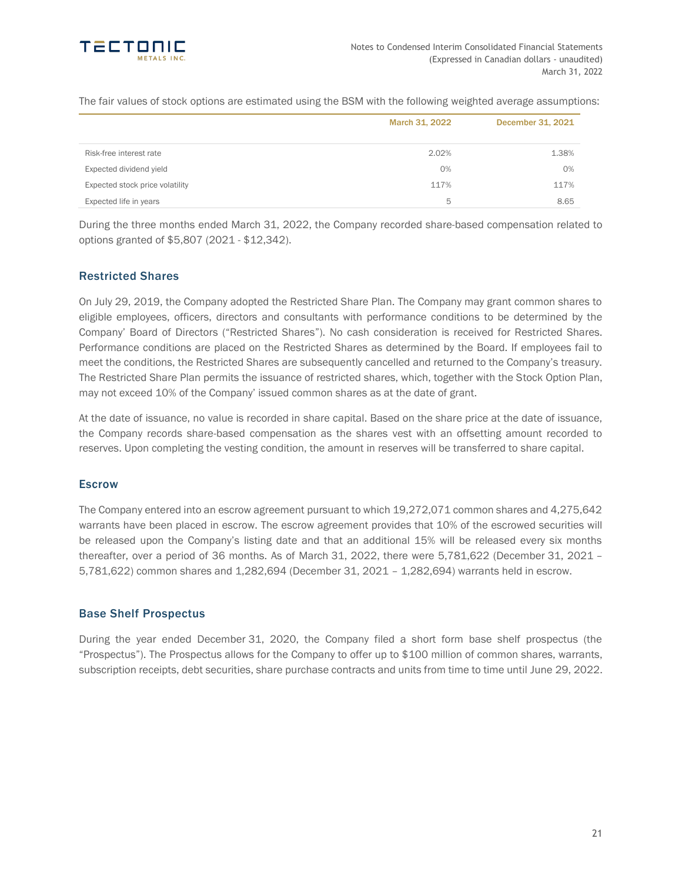

The fair values of stock options are estimated using the BSM with the following weighted average assumptions:

|                                 | March 31, 2022 | December 31, 2021 |
|---------------------------------|----------------|-------------------|
| Risk-free interest rate         | 2.02%          | 1.38%             |
| Expected dividend yield         | 0%             | 0%                |
| Expected stock price volatility | 117%           | 117%              |
| Expected life in years          | 5              | 8.65              |

During the three months ended March 31, 2022, the Company recorded share-based compensation related to options granted of \$5,807 (2021 - \$12,342).

## Restricted Shares

On July 29, 2019, the Company adopted the Restricted Share Plan. The Company may grant common shares to eligible employees, officers, directors and consultants with performance conditions to be determined by the Company' Board of Directors ("Restricted Shares"). No cash consideration is received for Restricted Shares. Performance conditions are placed on the Restricted Shares as determined by the Board. If employees fail to meet the conditions, the Restricted Shares are subsequently cancelled and returned to the Company's treasury. The Restricted Share Plan permits the issuance of restricted shares, which, together with the Stock Option Plan, may not exceed 10% of the Company' issued common shares as at the date of grant.

At the date of issuance, no value is recorded in share capital. Based on the share price at the date of issuance, the Company records share-based compensation as the shares vest with an offsetting amount recorded to reserves. Upon completing the vesting condition, the amount in reserves will be transferred to share capital.

### **Escrow**

The Company entered into an escrow agreement pursuant to which 19,272,071 common shares and 4,275,642 warrants have been placed in escrow. The escrow agreement provides that 10% of the escrowed securities will be released upon the Company's listing date and that an additional 15% will be released every six months thereafter, over a period of 36 months. As of March 31, 2022, there were 5,781,622 (December 31, 2021 – 5,781,622) common shares and 1,282,694 (December 31, 2021 – 1,282,694) warrants held in escrow.

## Base Shelf Prospectus

During the year ended December 31, 2020, the Company filed a short form base shelf prospectus (the "Prospectus"). The Prospectus allows for the Company to offer up to \$100 million of common shares, warrants, subscription receipts, debt securities, share purchase contracts and units from time to time until June 29, 2022.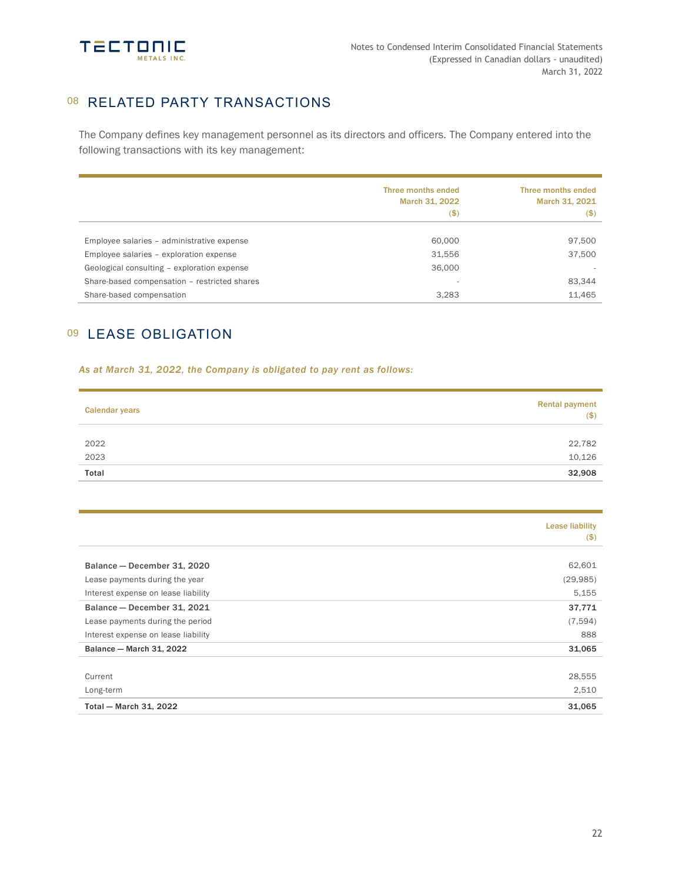

# 08 RELATED PARTY TRANSACTIONS

The Company defines key management personnel as its directors and officers. The Company entered into the following transactions with its key management:

|                                              | Three months ended<br>March 31, 2022<br>$($ \$) | Three months ended<br>March 31, 2021<br>(\$) |
|----------------------------------------------|-------------------------------------------------|----------------------------------------------|
| Employee salaries - administrative expense   | 60,000                                          | 97,500                                       |
| Employee salaries - exploration expense      | 31,556                                          | 37,500                                       |
| Geological consulting - exploration expense  | 36,000                                          |                                              |
| Share-based compensation - restricted shares | $\overline{\phantom{a}}$                        | 83.344                                       |
| Share-based compensation                     | 3,283                                           | 11,465                                       |

# 09 LEASE OBLIGATION

### *As at March 31, 2022, the Company is obligated to pay rent as follows:*

| <b>Calendar years</b> | <b>Rental payment</b><br>( \$) |  |
|-----------------------|--------------------------------|--|
|                       |                                |  |
| 2022                  | 22,782                         |  |
| 2023                  | 10,126                         |  |
| Total                 | 32,908                         |  |

|                                     | <b>Lease liability</b><br>$($ \$) |
|-------------------------------------|-----------------------------------|
|                                     |                                   |
| Balance - December 31, 2020         | 62,601                            |
| Lease payments during the year      | (29, 985)                         |
| Interest expense on lease liability | 5,155                             |
| Balance - December 31, 2021         | 37,771                            |
| Lease payments during the period    | (7,594)                           |
| Interest expense on lease liability | 888                               |
| Balance - March 31, 2022            | 31,065                            |
| Current                             | 28,555                            |
| Long-term                           | 2,510                             |
| Total - March 31, 2022              | 31,065                            |